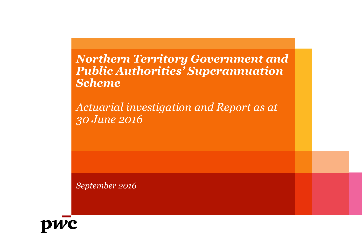*Northern Territory Government and Public Authorities' Superannuation Scheme*

*Actuarial investigation and Report as at 30 June 2016*

*September 2016*

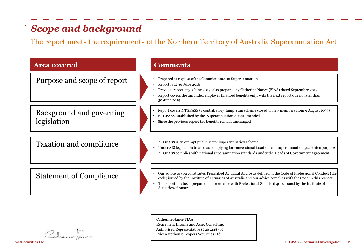# *Scope and background*

The report meets the requirements of the Northern Territory of Australia Superannuation Act

| <b>Area covered</b>                     | <b>Comments</b>                                                                                                                                                                                                                                                                                                                                                          |
|-----------------------------------------|--------------------------------------------------------------------------------------------------------------------------------------------------------------------------------------------------------------------------------------------------------------------------------------------------------------------------------------------------------------------------|
| Purpose and scope of report             | • Prepared at request of the Commissioner of Superannuation<br>Report is at 30 June 2016<br>Previous report at 30 June 2013, also prepared by Catherine Nance (FIAA) dated September 2013<br>Report covers the unfunded employer financed benefits only, with the next report due no later than<br>30 June 2019                                                          |
| Background and governing<br>legislation | Report covers NTGPASS (a contributory lump sum scheme closed to new members from 9 August 1999)<br>NTGPASS established by the Superannuation Act as amended<br>Since the previous report the benefits remain unchanged                                                                                                                                                   |
| <b>Taxation and compliance</b>          | • NTGPASS is an exempt public sector superannuation scheme<br>Under SIS legislation treated as complying for concessional taxation and superannuation guarantee purposes<br>NTGPASS complies with national superannuation standards under the Heads of Government Agreement                                                                                              |
| <b>Statement of Compliance</b>          | Our advice to you constitutes Prescribed Actuarial Advice as defined in the Code of Professional Conduct (the<br>code) issued by the Institute of Actuaries of Australia and our advice complies with the Code in this respect<br>The report has been prepared in accordance with Professional Standard 400, issued by the Institute of<br><b>Actuaries of Australia</b> |

Catherine Nance FIAA Retirement Income and Asset Consulting Authorised Representative (#265248) of PricewaterhouseCoopers Securities Ltd

Cothern Jame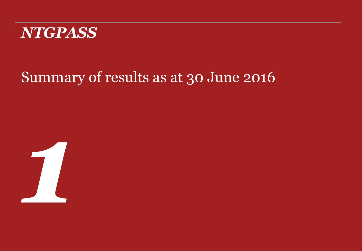

# Summary of results as at 30 June 2016

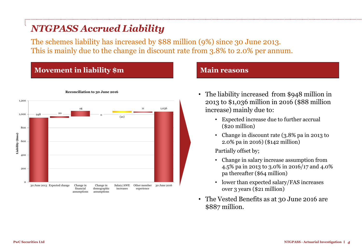# *NTGPASS Accrued Liability*

The schemes liability has increased by \$88 million (9%) since 30 June 2013. This is mainly due to the change in discount rate from 3.8% to 2.0% per annum.

### **Movement in liability \$m Main reasons**



**Reconciliation to 30 June 2016**

- The liability increased from \$948 million in 2013 to \$1,036 million in 2016 (\$88 million increase) mainly due to:
	- Expected increase due to further accrual (\$20 million)
	- Change in discount rate (3.8% pa in 2013 to 2.0% pa in 2016) (\$142 million)

Partially offset by;

- Change in salary increase assumption from 4.5% pa in 2013 to 3.0% in 2016/17 and 4.0% pa thereafter (\$64 million)
- lower than expected salary/FAS increases over 3 years (\$21 million)
- The Vested Benefits as at 30 June 2016 are \$887 million.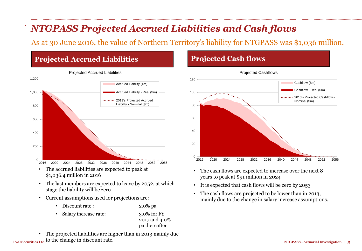# *NTGPASS Projected Accrued Liabilities and Cash flows*

As at 30 June 2016, the value of Northern Territory's liability for NTGPASS was \$1,036 million.

## **Projected Accrued Liabilities**



- The accrued liabilities are expected to peak at \$1,036.4 million in 2016
- The last members are expected to leave by 2052, at which stage the liability will be zero
- Current assumptions used for projections are:
	- Discount rate : 2.0% pa
	- Salary increase rate: 3.0% for FY

2017 and 4.0% pa thereafter

**PwC Securities Ltd** to the change in discount rate. • The projected liabilities are higher than in 2013 mainly due

### **Projected Cash flows**



- The cash flows are expected to increase over the next 8 years to peak at \$91 million in 2024
- It is expected that cash flows will be zero by 2053
- The cash flows are projected to be lower than in 2013, mainly due to the change in salary increase assumptions.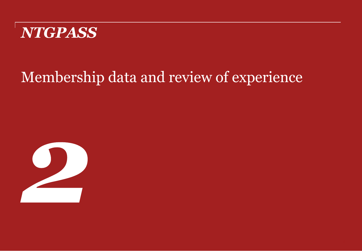

# Membership data and review of experience

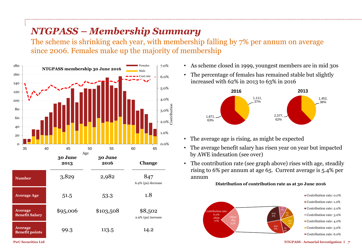# *NTGPASS – Membership Summary*

The scheme is shrinking each year, with membership falling by 7% per annum on average since 2006. Females make up the majority of membership



- As scheme closed in 1999, youngest members are in mid 30s
- The percentage of females has remained stable but slightly increased with 62% in 2013 to 63% in 2016



- The average age is rising, as might be expected
- The average benefit salary has risen year on year but impacted by AWE indexation (see over)
- The contribution rate (see graph above) rises with age, steadily rising to 6% per annum at age 65. Current average is 5.4% per annum

### **Distribution of contribution rate as at 30 June 2016**



Contribution rate: 0.0%

- Contribution rate: 1.0%
- Contribution rate: 2.0%
- Contribution rate: 3.0%
- Contribution rate: 4.0%
- Contribution rate: 5.0%
- Contribution rate: 6.0%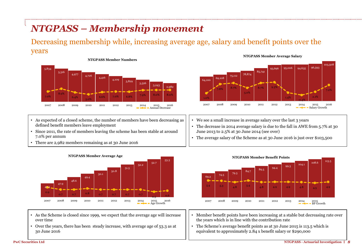# *NTGPASS – Membership movement*

### Decreasing membership while, increasing average age, salary and benefit points over the years



- As expected of a closed scheme, the number of members have been decreasing as defined benefit members leave employment
- Since 2011, the rate of members leaving the scheme has been stable at around 7.0% per annum
- There are 2,982 members remaining as at 30 June 2016





- As the Scheme is closed since 1999, we expect that the average age will increase over time
- Over the years, there has been steady increase, with average age of 53.3 as at 30 June 2016





- We see a small increase in average salary over the last 3 years
- The decrease in 2014 average salary is due to the fall in AWE from 5.7% at 30 June 2013 to 2.5% at 30 June 2014 (see over)
- The average salary of the Scheme as at 30 June 2016 is just over \$103,500

- Member benefit points have been increasing at a stable but decreasing rate over the years which is in line with the contribution rate
- The Scheme's average benefit points as at 30 June 2015 is 113.5 which is equivalent to approximately 2.84 x benefit salary or \$290,000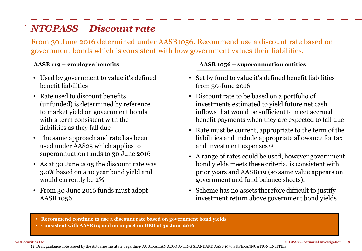# *NTGPASS – Discount rate*

From 30 June 2016 determined under AASB1056. Recommend use a discount rate based on government bonds which is consistent with how government values their liabilities.

- Used by government to value it's defined benefit liabilities
- Rate used to discount benefits (unfunded) is determined by reference to market yield on government bonds with a term consistent with the liabilities as they fall due
- The same approach and rate has been used under AAS25 which applies to superannuation funds to 30 June 2016
- As at 30 June 2015 the discount rate was 3.0% based on a 10 year bond yield and would currently be 2%
- From 30 June 2016 funds must adopt AASB 1056

### **AASB 119 – employee benefits AASB 1056 – superannuation entities**

- Set by fund to value it's defined benefit liabilities from 30 June 2016
- Discount rate to be based on a portfolio of investments estimated to yield future net cash inflows that would be sufficient to meet accrued benefit payments when they are expected to fall due
- Rate must be current, appropriate to the term of the liabilities and include appropriate allowance for tax and investment expenses (1)
- A range of rates could be used, however government bond yields meets these criteria, is consistent with prior years and AASB119 (so same value appears on government and fund balance sheets).
- Scheme has no assets therefore difficult to justify investment return above government bond yields
- **Recommend continue to use a discount rate based on government bond yields**
- **Consistent with AASB119 and no impact on DBO at 30 June 2016**

(1) Draft guidance note issued by the Actuaries Institute regarding- AUSTRALIAN ACCOUNTING STANDARD AASB 1056 SUPERANNUATION ENTITIES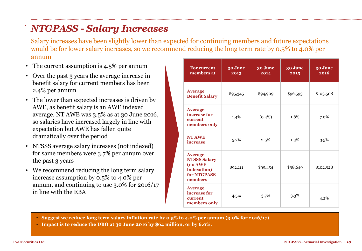# *NTGPASS - Salary Increases*

Salary increases have been slightly lower than expected for continuing members and future expectations would be for lower salary increases, so we recommend reducing the long term rate by 0.5% to 4.0% per annum

- The current assumption is 4.5% per annum
- Over the past 3 years the average increase in benefit salary for current members has been 2.4% per annum
- The lower than expected increases is driven by AWE, as benefit salary is an AWE indexed average. NT AWE was 3.5% as at 30 June 2016, so salaries have increased largely in line with expectation but AWE has fallen quite dramatically over the period
- NTSSS average salary increases (not indexed) for same members were 3.7% per annum over the past 3 years
- We recommend reducing the long term salary increase assumption by 0.5% to 4.0% per annum, and continuing to use 3.0% for 2016/17 in line with the EBA

| <b>For current</b><br>members at                                                          | 30 June<br>2013 | 30 June<br>2014 | 30 June<br>2015 | 30 June<br>2016 |
|-------------------------------------------------------------------------------------------|-----------------|-----------------|-----------------|-----------------|
| <b>Average</b><br><b>Benefit Salary</b>                                                   | \$95,345        | \$94,909        | \$96,593        | \$103,508       |
| <b>Average</b><br>increase for<br>current<br>members only                                 | 1.4%            | $(0.4\%)$       | 1.8%            | 7.0%            |
| <b>NT AWE</b><br><i>increase</i>                                                          | 5.7%            | 2.5%            | 1.3%            | $3.5\%$         |
| <b>Average</b><br><b>NTSSS Salary</b><br>(no AWE<br>indexation)<br>for NTGPASS<br>members | \$92,111        | \$95,454        | \$98,649        | \$102,928       |
| <b>Average</b><br>increase for<br>current<br>members only                                 | 4.5%            | 3.7%            | 3.3%            | 4.2%            |

- **Suggest we reduce long term salary inflation rate by 0.5% to 4.0% per annum (3.0% for 2016/17)**
- **Impact is to reduce the DBO at 30 June 2016 by \$64 million, or by 6.0%.**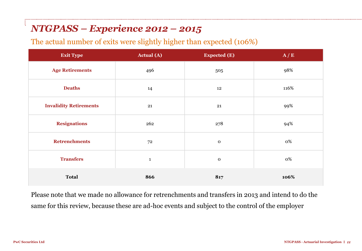## *NTGPASS – Experience 2012 – 2015*

The actual number of exits were slightly higher than expected (106%)

| <b>Exit Type</b>              | <b>Actual (A)</b> | <b>Expected (E)</b> | A/E  |
|-------------------------------|-------------------|---------------------|------|
| <b>Age Retirements</b>        | 496               | 505                 | 98%  |
| <b>Deaths</b>                 | 14                | 12                  | 116% |
| <b>Invalidity Retirements</b> | 21                | 21                  | 99%  |
| <b>Resignations</b>           | 262               | 278                 | 94%  |
| <b>Retrenchments</b>          | 72                | $\mathbf 0$         | 0%   |
| <b>Transfers</b>              | $\mathbf{1}$      | $\mathbf 0$         | 0%   |
| <b>Total</b>                  | 866               | 817                 | 106% |

Please note that we made no allowance for retrenchments and transfers in 2013 and intend to do the same for this review, because these are ad-hoc events and subject to the control of the employer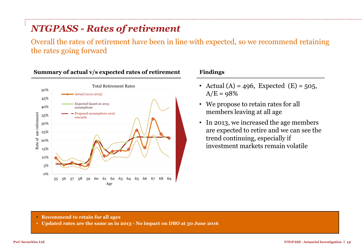# *NTGPASS - Rates of retirement*

Overall the rates of retirement have been in line with expected, so we recommend retaining the rates going forward



### **Summary of actual v/s expected rates of retirement Findings**

- Actual (A) = 496, Expected (E) = 505,  $A/E = 98%$
- We propose to retain rates for all members leaving at all age
- In 2013, we increased the age members are expected to retire and we can see the trend continuing, especially if investment markets remain volatile

- **Recommend to retain for all ages**
- **Updated rates are the same as in 2013 - No impact on DBO at 30 June 2016**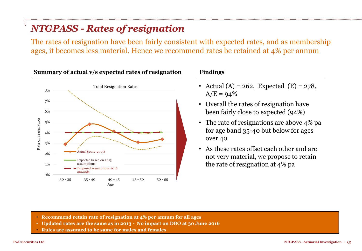# *NTGPASS - Rates of resignation*

The rates of resignation have been fairly consistent with expected rates, and as membership ages, it becomes less material. Hence we recommend rates be retained at 4% per annum



### **Summary of actual v/s expected rates of resignation Findings**

- Actual (A) = 262, Expected (E) = 278,  $A/E = 94%$
- Overall the rates of resignation have been fairly close to expected (94%)
- The rate of resignations are above 4% pa for age band 35-40 but below for ages over 40
- As these rates offset each other and are not very material, we propose to retain the rate of resignation at 4% pa

- **Recommend retain rate of resignation at 4% per annum for all ages**
- **Updated rates are the same as in 2013 No impact on DBO at 30 June 2016**
- **Rules are assumed to be same for males and females**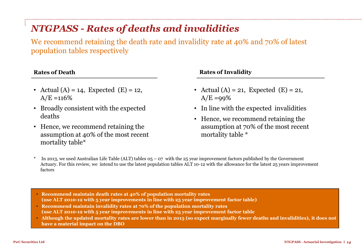# *NTGPASS - Rates of deaths and invalidities*

We recommend retaining the death rate and invalidity rate at 40% and 70% of latest population tables respectively

- Actual (A) = 14, Expected (E) = 12,  $A/E = 116%$
- Broadly consistent with the expected deaths
- Hence, we recommend retaining the assumption at 40% of the most recent mortality table\*

### **Rates of Death Rates of Invalidity**

- Actual (A) = 21, Expected (E) = 21,  $A/E = 99\%$
- In line with the expected invalidities
- Hence, we recommend retaining the assumption at 70% of the most recent mortality table \*
- In 2013, we used Australian Life Table (ALT) tables  $0.5 0.07$  with the 25 year improvement factors published by the Government Actuary. For this review, we intend to use the latest population tables ALT 10-12 with the allowance for the latest 25 years improvement factors
- **Recommend maintain death rates at 40% of population mortality rates (use ALT 2010-12 with 5 year improvements in line with 25 year improvement factor table)**
- **Recommend maintain invalidity rates at 70% of the population mortality rates (use ALT 2010-12 with 5 year improvements in line with 25 year improvement factor table**
- **Although the updated mortality rates are lower than in 2013 (so expect marginally fewer deaths and invalidities), it does not have a material impact on the DBO**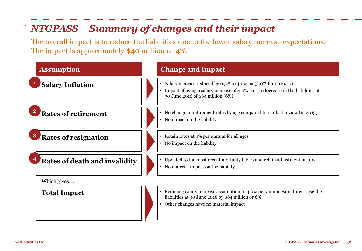# *NTGPASS – Summary of changes and their impact*

The overall impact is to reduce the liabilities due to the lower salary increase expectations. The impact is approximately \$40 million or 4%.

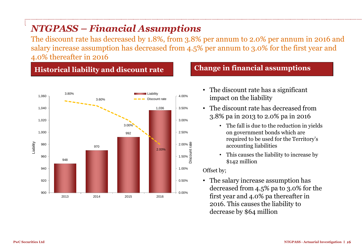# *NTGPASS – Financial Assumptions*

The discount rate has decreased by 1.8%, from 3.8% per annum to 2.0% per annum in 2016 and salary increase assumption has decreased from 4.5% per annum to 3.0% for the first year and 4.0% thereafter in 2016

## **Historical liability and discount rate Change in financial assumptions**



- The discount rate has a significant impact on the liability
- The discount rate has decreased from 3.8% pa in 2013 to 2.0% pa in 2016
	- The fall is due to the reduction in yields on government bonds which are required to be used for the Territory's accounting liabilities
	- This causes the liability to increase by \$142 million

### Offset by;

• The salary increase assumption has decreased from 4.5% pa to 3.0% for the first year and 4.0% pa thereafter in 2016. This causes the liability to decrease by \$64 million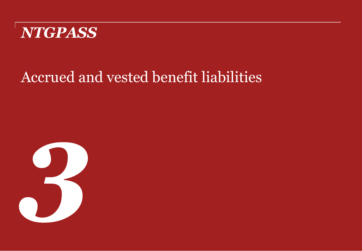

# Accrued and vested benefit liabilities

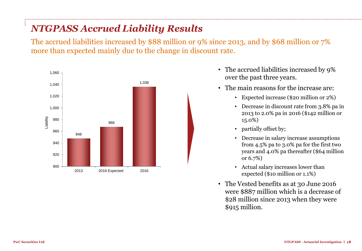# *NTGPASS Accrued Liability Results*

The accrued liabilities increased by \$88 million or 9% since 2013, and by \$68 million or 7% more than expected mainly due to the change in discount rate.



- The accrued liabilities increased by 9% over the past three years.
- The main reasons for the increase are:
	- Expected increase (\$20 million or 2%)
	- Decrease in discount rate from 3.8% pa in 2013 to 2.0% pa in 2016 (\$142 million or 15.0%)
	- partially offset by;
	- Decrease in salary increase assumptions from 4.5% pa to 3.0% pa for the first two years and 4.0% pa thereafter (\$64 million or 6.7%)
	- Actual salary increases lower than expected (\$10 million or 1.1%)
- The Vested benefits as at 30 June 2016 were \$887 million which is a decrease of \$28 million since 2013 when they were \$915 million.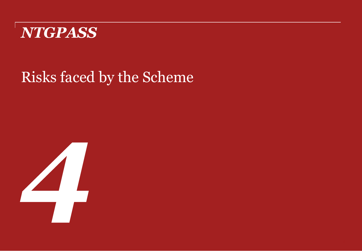

# Risks faced by the Scheme

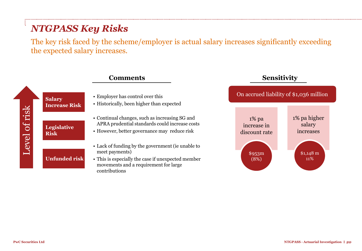# *NTGPASS Key Risks*

The key risk faced by the scheme/employer is actual salary increases significantly exceeding the expected salary increases.

|               |                                       | <b>Comments</b>                                                                                                                                                                     | <b>Sensitivity</b>                       |                                     |
|---------------|---------------------------------------|-------------------------------------------------------------------------------------------------------------------------------------------------------------------------------------|------------------------------------------|-------------------------------------|
|               | <b>Salary</b><br><b>Increase Risk</b> | • Employer has control over this<br>• Historically, been higher than expected                                                                                                       | On accrued liability of \$1,036 million  |                                     |
| Level of risk | <b>Legislative</b><br><b>Risk</b>     | • Continual changes, such as increasing SG and<br>APRA prudential standards could increase costs<br>• However, better governance may reduce risk                                    | $1\%$ pa<br>increase in<br>discount rate | 1% pa higher<br>salary<br>increases |
|               | <b>Unfunded risk</b>                  | • Lack of funding by the government (ie unable to<br>meet payments)<br>• This is especially the case if unexpected member<br>movements and a requirement for large<br>contributions | \$953m<br>(8%)                           | $$1,148 \text{ m}$<br><b>11%</b>    |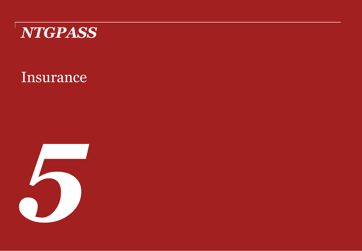

# Insurance

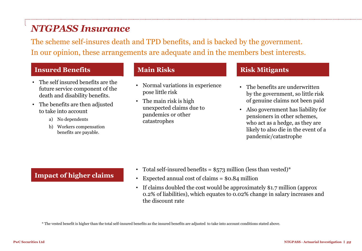## *NTGPASS Insurance*

The scheme self-insures death and TPD benefits, and is backed by the government. In our opinion, these arrangements are adequate and in the members best interests.

### **Insured Benefits Main Risks Risk Mitigants**

- The self insured benefits are the future service component of the death and disability benefits.
- The benefits are then adjusted to take into account
	- a) No dependents
	- b) Workers compensation benefits are payable.

- Normal variations in experience pose little risk
- The main risk is high unexpected claims due to pandemics or other catastrophes

- The benefits are underwritten by the government, so little risk of genuine claims not been paid
- Also government has liability for pensioners in other schemes, who act as a hedge, as they are likely to also die in the event of a pandemic/catastrophe

### **Impact of higher claims**

- Total self-insured benefits =  $$573$  million (less than vested)\*
- Expected annual cost of claims  $=$  \$0.84 million
- If claims doubled the cost would be approximately \$1.7 million (approx 0.2% of liabilities), which equates to 0.02% change in salary increases and the discount rate

\* The vested benefit is higher than the total self-insured benefits as the insured benefits are adjusted to take into account conditions stated above.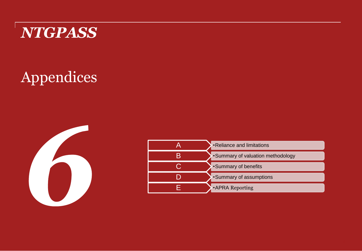

# Appendices



| •Reliance and limitations         |
|-----------------------------------|
| •Summary of valuation methodology |
| •Summary of benefits              |
| •Summary of assumptions           |
| •APRA Reporting                   |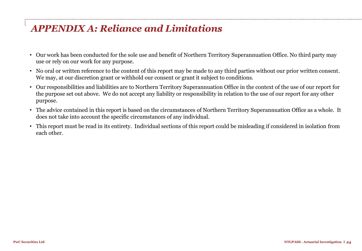## *APPENDIX A: Reliance and Limitations*

- Our work has been conducted for the sole use and benefit of Northern Territory Superannuation Office. No third party may use or rely on our work for any purpose.
- No oral or written reference to the content of this report may be made to any third parties without our prior written consent. We may, at our discretion grant or withhold our consent or grant it subject to conditions.
- Our responsibilities and liabilities are to Northern Territory Superannuation Office in the context of the use of our report for the purpose set out above. We do not accept any liability or responsibility in relation to the use of our report for any other purpose.
- The advice contained in this report is based on the circumstances of Northern Territory Superannuation Office as a whole. It does not take into account the specific circumstances of any individual.
- This report must be read in its entirety. Individual sections of this report could be misleading if considered in isolation from each other.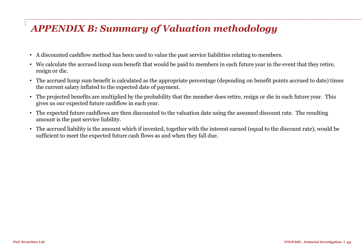# *APPENDIX B: Summary of Valuation methodology*

- A discounted cashflow method has been used to value the past service liabilities relating to members.
- We calculate the accrued lump sum benefit that would be paid to members in each future year in the event that they retire, resign or die.
- The accrued lump sum benefit is calculated as the appropriate percentage (depending on benefit points accrued to date) times the current salary inflated to the expected date of payment.
- The projected benefits are multiplied by the probability that the member does retire, resign or die in each future year. This gives us our expected future cashflow in each year.
- The expected future cashflows are then discounted to the valuation date using the assumed discount rate. The resulting amount is the past service liability.
- The accrued liability is the amount which if invested, together with the interest earned (equal to the discount rate), would be sufficient to meet the expected future cash flows as and when they fall due.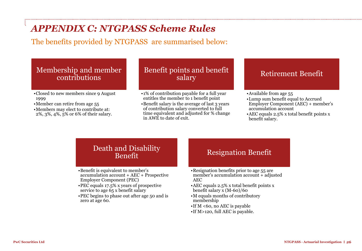# *APPENDIX C: NTGPASS Scheme Rules*

The benefits provided by NTGPASS are summarised below:

### Membership and member contributions

- •Closed to new members since 9 August 1999
- •Member can retire from age 55
- •Members may elect to contribute at: 2%, 3%, 4%, 5% or 6% of their salary.

### Benefit points and benefit salary

- •1% of contribution payable for a full year entitles the member to 1 benefit point
- •Benefit salary is the average of last 3 years of contribution salary converted to full time equivalent and adjusted for % change in AWE to date of exit.

### Retirement Benefit

- •Available from age 55
- •Lump sum benefit equal to Accrued Employer Component (AEC) + member's accumulation account
- •AEC equals 2.5% x total benefit points x benefit salary.

### Death and Disability Benefit

- •Benefit is equivalent to member's accumulation account + AEC + Prospective Employer Component (PEC)
- •PEC equals 17.5% x years of prospective service to age 65 x benefit salary
- •PEC begins to phase out after age 50 and is zero at age 60.

### Resignation Benefit

- •Resignation benefits prior to age 55 are member's accumulation account + adjusted AEC
- •AEC equals 2.5% x total benefit points x benefit salary x (M-60)/60
- •M equals months of contributory membership
- •If M <60, no AEC is payable
- •If M>120, full AEC is payable.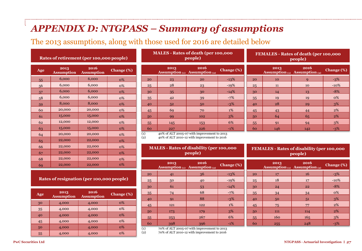## *APPENDIX D: NTGPASS – Summary of assumptions*

The 2013 assumptions, along with those used for 2016 are detailed below

### **Rates of retirement (per 100,000 people)**

| Age | 2013<br><b>Assumption</b> | 2016<br><b>Assumption</b> | <b>Change</b> (%) |
|-----|---------------------------|---------------------------|-------------------|
| 55  | 6,000                     | 6,000                     | <b>0%</b>         |
| 56  | 6,000                     | 6,000                     | 0%                |
| 57  | 6,000                     | 6,000                     | $0\%$             |
| 58  | 6,000                     | 6,000                     | 0%                |
| 59  | 8,000                     | 8,000                     | $0\%$             |
| 60  | 20,000                    | 20,000                    | 0%                |
| 61  | 15,000                    | 15,000                    | $0\%$             |
| 62  | 12,000                    | 12,000                    | <b>0%</b>         |
| 63  | 15,000                    | 15,000                    | <b>0%</b>         |
| 64  | 20,000                    | 20,000                    | <b>0%</b>         |
| 65  | 22,000                    | 22,000                    | 0%                |
| 66  | 22,000                    | 22,000                    | <b>0%</b>         |
| 67  | 22,000                    | 22,000                    | <b>0%</b>         |
| 68  | 22,000                    | 22,000                    | 0%                |
| 69  | 22,000                    | 22,000                    | $0\%$             |

 4,000 4,000 0% 35 4,000 4,000 0% 40 4,000 4,000 6% 45 4,000 4,000 6%

**Rates of resignation (per 100,000 people)**

**Assumption Change (%)**

### **MALES - Rates of death (per 100,000 people)**

|         | 2013                                                                          | 2016<br>Assumption $(t)$ Assumption $(t)$ | Change (%) |
|---------|-------------------------------------------------------------------------------|-------------------------------------------|------------|
| 20      | 23                                                                            | 20                                        | $-13%$     |
| 25      | 28                                                                            | 23                                        | $-19%$     |
| 30      | 35                                                                            | 30                                        | $-14%$     |
| 35      | 42                                                                            | 39                                        | $-7%$      |
| 40      | 52                                                                            | 50                                        | $-3%$      |
| 45      | 69                                                                            | 70                                        | $1\%$      |
| 50      | 99                                                                            | 102                                       | 3%         |
| 55      | 145                                                                           | 153                                       | 6%         |
| 60      | 227                                                                           | 226                                       | $-1\%$     |
| $\cdot$ | $1 - 0$ $\ell$ $\rightarrow$ $\ell$ $\rightarrow$ $\ell$ $\rightarrow$ $\ell$ | Arthur Association                        | .          |

### **FEMALES - Rates of death (per 100,000 people)**

|    | 2013 | 2016<br>Assumption $(t)$ Assumption $(t)$ | <b>Change</b> (%) |
|----|------|-------------------------------------------|-------------------|
| 20 | 10   | Q                                         | $-3\%$            |
| 25 | 11   | 10                                        | $-10\%$           |
| 30 | 14   | 13                                        | $-8%$             |
| 35 | 19   | 19                                        | 0%                |
| 40 | 28   | 29                                        | 3%                |
| 45 | 43   | 44                                        | 2%                |
| 50 | 64   | 65                                        | 2%                |
| 55 | 91   | 94                                        | 3%                |
| 60 | 146  | 142                                       | $-3%$             |

(1) 40% of ALT 2005-07 with improvement to 2013

(2) 40% of ALT 2010-12 with improvement to 2016

### **MALES - Rates of disability (per 100,000 people)**

|        | 2013                                         | 2016<br>Assumption $(i)$ Assumption $(i)$ | Change (%) |
|--------|----------------------------------------------|-------------------------------------------|------------|
| 20     | 41                                           | 36                                        | $-13%$     |
| 25     | 50                                           | 40                                        | $-19%$     |
| 30     | 61                                           | 53                                        | $-14%$     |
| 35     | 74                                           | 68                                        | $-7%$      |
| 40     | 91                                           | 88                                        | $-3%$      |
| 45     | 121                                          | 122                                       | 1%         |
| 50     | 173                                          | 179                                       | 3%         |
| 55     | 253                                          | 267                                       | 6%         |
| 60     | 398                                          | 396                                       | $-1\%$     |
| $\sim$ | $\sim$ $\sim$<br>$\sim$ $\sim$ $\sim$ $\sim$ | $\cdots$                                  |            |

(1) 70% of ALT 2005-07 with improvement to 2013 (2) 70% of ALT 2010-12 with improvement to 2016

**FEMALES - Rates of disability (per 100,000 people)**

|    | 2013 | 2016<br>Assumption $(t)$ Assumption $(t)$ | Change (%) |
|----|------|-------------------------------------------|------------|
| 20 | 17   | 16                                        | $-3\%$     |
| 25 | 18   | 17                                        | $-10\%$    |
| 30 | 24   | 22                                        | $-8%$      |
| 35 | 34   | 34                                        | $0\%$      |
| 40 | 50   | 51                                        | 3%         |
| 45 | 75   | 77                                        | $2\%$      |
| 50 | 111  | 114                                       | 2%         |
| 55 | 160  | 165                                       | 3%         |
| 60 | 255  | 248                                       | $-3%$      |

 4,000 4,000 0% 55 4,000 4,000 6%

**Age <sup>2013</sup>**

**Assumption**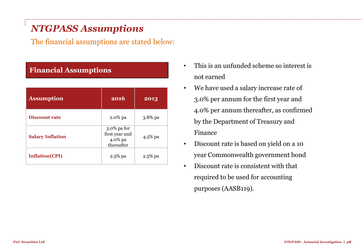# *NTGPASS Assumptions*

The financial assumptions are stated below:

### **Financial Assumptions**

| <b>Assumption</b>       | 2016                                                   | 2013       |
|-------------------------|--------------------------------------------------------|------------|
| <b>Discount rate</b>    | 2.0% pa                                                | $3.8\%$ pa |
| <b>Salary Inflation</b> | 3.0% pa for<br>first year and<br>4.0% pa<br>thereafter | 4.5% pa    |
| <b>Inflation(CPI)</b>   | 2.5% pa                                                | 2.5% pa    |

- This is an unfunded scheme so interest is not earned
- We have used a salary increase rate of 3.0% per annum for the first year and 4.0% per annum thereafter, as confirmed by the Department of Treasury and Finance
- Discount rate is based on yield on a 10 year Commonwealth government bond
- Discount rate is consistent with that required to be used for accounting purposes (AASB119).